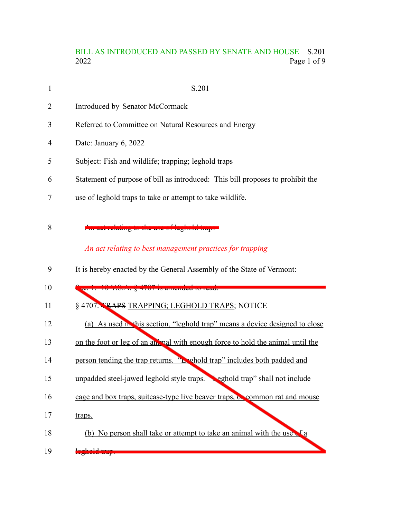## BILL AS INTRODUCED AND PASSED BY SENATE AND HOUSE S.201<br>2022 Page 1 of 9 Page 1 of 9

| 1  | S.201                                                                                          |
|----|------------------------------------------------------------------------------------------------|
| 2  | Introduced by Senator McCormack                                                                |
| 3  | Referred to Committee on Natural Resources and Energy                                          |
| 4  | Date: January 6, 2022                                                                          |
| 5  | Subject: Fish and wildlife; trapping; leghold traps                                            |
| 6  | Statement of purpose of bill as introduced: This bill proposes to prohibit the                 |
| 7  | use of leghold traps to take or attempt to take wildlife.                                      |
| 8  | hating to the use of legiold trap<br>An act relating to best management practices for trapping |
| 9  | It is hereby enacted by the General Assembly of the State of Vermont:                          |
| 10 | c. 1. 10 V.9.4. 8 4707 is amended to read.                                                     |
| 11 | § 4707. TRAPS TRAPPING; LEGHOLD TRAPS; NOTICE                                                  |
| 12 | (a) As used in this section, "leghold trap" means a device designed to close                   |
| 13 | on the foot or leg of an animal with enough force to hold the animal until the                 |
| 14 | person tending the trap returns. "Lephold trap" includes both padded and                       |
| 15 | unpadded steel-jawed leghold style traps. Seghold trap" shall not include                      |
| 16 | cage and box traps, suitcase-type live beaver traps, or common rat and mouse                   |
| 17 | traps.                                                                                         |

- (b) No person shall take or attempt to take an animal with the use of a 18
- rle<mark>ktropp</mark> 19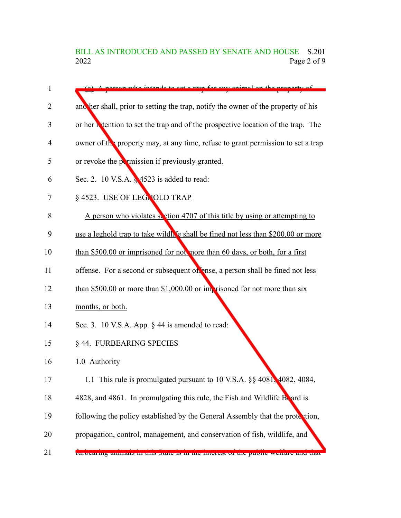# BILL AS INTRODUCED AND PASSED BY SENATE AND HOUSE S.201<br>2022 Page 2 of 9 Page 2 of 9

| $\mathbf{1}$ | intende to get a tran for any enimal on the                                        |
|--------------|------------------------------------------------------------------------------------|
| 2            | another shall, prior to setting the trap, notify the owner of the property of his  |
| 3            | or her intention to set the trap and of the prospective location of the trap. The  |
| 4            | owner of the property may, at any time, refuse to grant permission to set a trap   |
| 5            | or revoke the permission if previously granted.                                    |
| 6            | Sec. 2. 10 V.S.A. § 4523 is added to read:                                         |
| 7            | § 4523. USE OF LEGNOLD TRAP                                                        |
| 8            | A person who violates section 4707 of this title by using or attempting to         |
| 9            | use a leghold trap to take wildle shall be fined not less than \$200.00 or more    |
| 10           | than \$500.00 or imprisoned for not more than 60 days, or both, for a first        |
| 11           | offense. For a second or subsequent of ense, a person shall be fined not less      |
| 12           | than \$500.00 or more than \$1,000.00 or imprisoned for not more than $\sin x$     |
| 13           | months, or both.                                                                   |
| 14           | Sec. 3. 10 V.S.A. App. § 44 is amended to read:                                    |
| 15           | § 44. FURBEARING SPECIES                                                           |
| 16           | 1.0 Authority                                                                      |
| 17           | 1.1 This rule is promulgated pursuant to 10 V.S.A. §§ 4081, 4082, 4084,            |
| 18           | 4828, and 4861. In promulgating this rule, the Fish and Wildlife Board is          |
| 19           | following the policy established by the General Assembly that the protection,      |
| 20           | propagation, control, management, and conservation of fish, wildlife, and          |
| 21           | rurocaring annuals in this state is in the interest of the public weirare and that |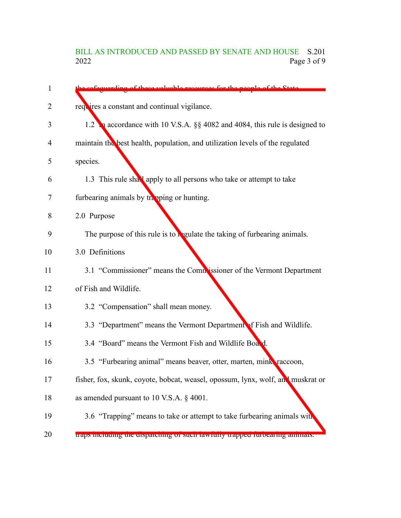## BILL AS INTRODUCED AND PASSED BY SENATE AND HOUSE S.201<br>2022 Page 3 of 9 Page 3 of 9

| 1  | quarding of those valuable resources for the needle of the State                |
|----|---------------------------------------------------------------------------------|
| 2  | requires a constant and continual vigilance.                                    |
| 3  | 1.2 a accordance with 10 V.S.A. §§ 4082 and 4084, this rule is designed to      |
| 4  | maintain the best health, population, and utilization levels of the regulated   |
| 5  | species.                                                                        |
| 6  | 1.3 This rule shall apply to all persons who take or attempt to take            |
| 7  | furbearing animals by trapping or hunting.                                      |
| 8  | 2.0 Purpose                                                                     |
| 9  | The purpose of this rule is to regulate the taking of furbearing animals.       |
| 10 | 3.0 Definitions                                                                 |
| 11 | 3.1 "Commissioner" means the Commissioner of the Vermont Department             |
| 12 | of Fish and Wildlife.                                                           |
| 13 | 3.2 "Compensation" shall mean money.                                            |
| 14 | 3.3 "Department" means the Vermont Department of Fish and Wildlife.             |
| 15 | 3.4 "Board" means the Vermont Fish and Wildlife Board.                          |
| 16 | 3.5 "Furbearing animal" means beaver, otter, marten, mink, raccoon,             |
| 17 | fisher, fox, skunk, coyote, bobcat, weasel, opossum, lynx, wolf, and muskrat or |
| 18 | as amended pursuant to 10 V.S.A. § 4001.                                        |
| 19 | 3.6 "Trapping" means to take or attempt to take furbearing animals with         |
| 20 | traps including the dispatenting or such fawfuny trapped furocaring annuals.    |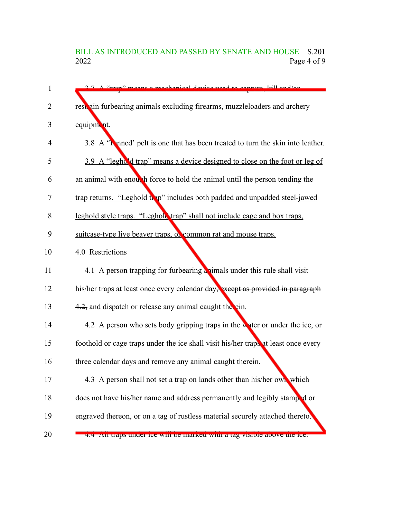## BILL AS INTRODUCED AND PASSED BY SENATE AND HOUSE S.201<br>2022 Page 4 of 9 Page 4 of 9

| 1  | 2.7 A "trap" means a mechanical device used to contura kill and/or                 |
|----|------------------------------------------------------------------------------------|
| 2  | rest ain furbearing animals excluding firearms, muzzleloaders and archery          |
| 3  | equipment.                                                                         |
| 4  | 3.8 A 'To med' pelt is one that has been treated to turn the skin into leather.    |
| 5  | 3.9 A "leghold trap" means a device designed to close on the foot or leg of        |
| 6  | an animal with enough force to hold the animal until the person tending the        |
| 7  | trap returns. "Leghold trap" includes both padded and unpadded steel-jawed         |
| 8  | leghold style traps. "Leghold trap" shall not include cage and box traps,          |
| 9  | suitcase-type live beaver traps, or common rat and mouse traps.                    |
| 10 | 4.0 Restrictions                                                                   |
| 11 | 4.1 A person trapping for furbearing a simals under this rule shall visit          |
| 12 | his/her traps at least once every calendar day, except as provided in paragraph    |
| 13 | 4.2, and dispatch or release any animal caught the ein.                            |
| 14 | 4.2 A person who sets body gripping traps in the water or under the ice, or        |
| 15 | foothold or cage traps under the ice shall visit his/her traps at least once every |
| 16 | three calendar days and remove any animal caught therein.                          |
| 17 | 4.3 A person shall not set a trap on lands other than his/her own which            |
| 18 | does not have his/her name and address permanently and legibly stamped or          |
| 19 | engraved thereon, or on a tag of rustless material securely attached thereto.      |
| 20 | 4.4 An uaps under tee win be marked with a tag visible above the fee.              |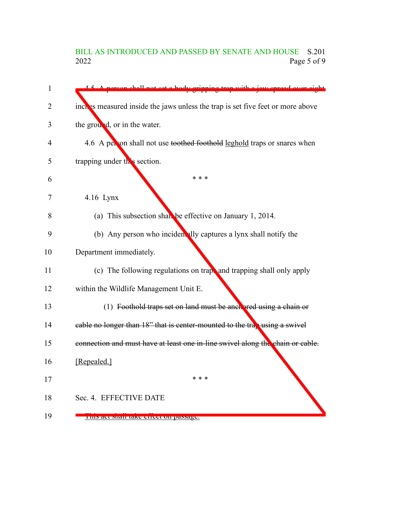## BILL AS INTRODUCED AND PASSED BY SENATE AND HOUSE S.201<br>2022 Page 5 of 9 Page 5 of 9

| 1              | A person shall not set a hody gripping trep with a jew spread over eight       |
|----------------|--------------------------------------------------------------------------------|
| $\overline{2}$ | inches measured inside the jaws unless the trap is set five feet or more above |
| 3              | the ground, or in the water.                                                   |
| 4              | 4.6 A per on shall not use toothed foothold leghold traps or snares when       |
| 5              | trapping under this section.                                                   |
| 6              | * * *                                                                          |
| 7              | 4.16 Lynx                                                                      |
| 8              | (a) This subsection shall be effective on January 1, 2014.                     |
| 9              | (b) Any person who incident ally captures a lynx shall notify the              |
| 10             | Department immediately.                                                        |
| 11             | (c) The following regulations on trapp and trapping shall only apply           |
| 12             | within the Wildlife Management Unit E.                                         |
| 13             | (1) Foothold traps set on land must be ancharded using a chain or              |
| 14             | eable no longer than $18$ " that is center-mounted to the trap using a swivel  |
| 15             | connection and must have at least one in-line swivel along the chain or cable. |
| 16             | [Repealed.]                                                                    |
| 17             | * * *                                                                          |
| 18             | Sec. 4. EFFECTIVE DATE                                                         |
| 19             | THIS act Shall take effect on passage.                                         |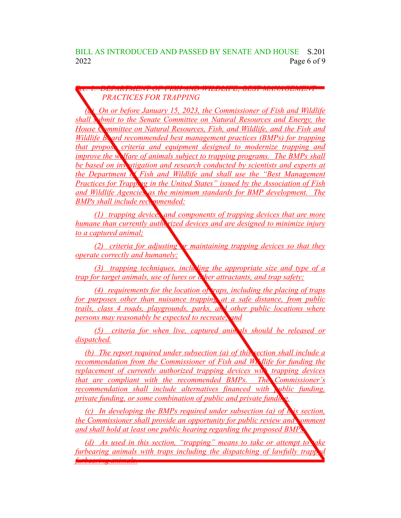BILL AS INTRODUCED AND PASSED BY SENATE AND HOUSE S.201 2022 Page 6 of 9

*Sec. 1. DEPARTMENT OF FISH AND WILDLIFE; BEST MANAGEMENT PRACTICES FOR TRAPPING*

*(a) On or before January 15, 2023, the Commissioner of Fish and Wildlife shall submit to the Senate Committee on Natural Resources and Energy, the House Committee on Natural Resources, Fish, and Wildlife, and the Fish and Wildlife Board recommended best management practices (BMPs) for trapping that propose criteria and equipment designed to modernize trapping and improve the welfare of animals subject to trapping programs. The BMPs shall be based on investigation and research conducted by scientists and experts at the Department of Fish and Wildlife and shall use the "Best Management Practices for Trapping in the United States" issued by the Association of Fish and Wildlife Agencies as the minimum standards for BMP development. The* **BMPs** shall include recommended:

*(1) trapping devices and components of trapping devices that are more humane than currently authorized devices and are designed to minimize injury to a captured animal;*

*(2) criteria for adjusting or maintaining trapping devices so that they operate correctly and humanely;*

*(3) trapping techniques, inclusing the appropriate size and type of a trap for target animals, use of lures or other attractants, and trap safety;*

*(4) requirements for the location of traps, including the placing of traps for purposes other than nuisance trapping at a safe distance, from public trails, class 4 roads, playgrounds, parks, and other public locations where persons may reasonably be expected to recreate; and*

*(5) criteria for when live, captured animals should be released or dispatched.*

*(b) The report required under subsection (a) of this section shall include a recommendation from the Commissioner of Fish and Wildlife for funding the replacement of currently authorized trapping devices with trapping devices that are compliant with the recommended BMPs. The Commissioner's recommendation shall include alternatives financed with public funding, private funding, or some combination of public and private funding.*

*(c) In developing the BMPs required under subsection (a) of this section, the Commissioner shall provide an opportunity for public review and comment and shall hold at least one public hearing regarding the proposed BMPs.*

*(d) As used in this section, "trapping" means to take or attempt to take furbearing animals with traps including the dispatching of lawfully trapp furbearing animals.*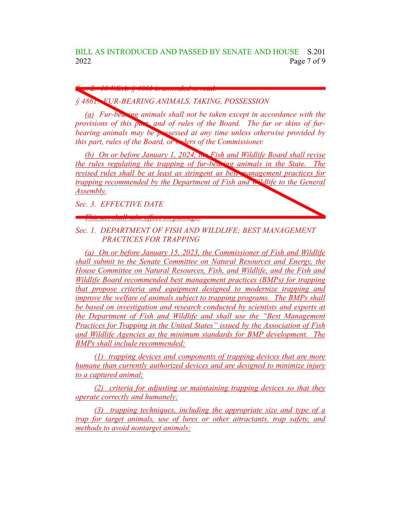*§ 4861. FUR-BEARING ANIMALS, TAKING, POSSESSION*

*Sec. 2. 10 V.S.A. § 4861 is amended to read:*

*(a) Fur-bearing animals shall not be taken except in accordance with the provisions of this part, and of rules of the Board. The fur or skins of furbearing animals may be possessed at any time unless otherwise provided by this part, rules of the Board, or orders of the Commissioner.* 

*(b) On or before January 1, 2024, the Fish and Wildlife Board shall revise the rules regulating the trapping of fur-bearing animals in the State. The revised rules shall be at least as stringent as best management practices for trapping recommended by the Department of Fish and Wildlife to the General Assembly.*

*Sec. 3. EFFECTIVE DATE*

*This act shall take effect on passage.*



*Sec. 1. DEPARTMENT OF FISH AND WILDLIFE; BEST MANAGEMENT PRACTICES FOR TRAPPING*

*(a) On or before January 15, 2023, the Commissioner of Fish and Wildlife shall submit to the Senate Committee on Natural Resources and Energy, the House Committee on Natural Resources, Fish, and Wildlife, and the Fish and Wildlife Board recommended best management practices (BMPs) for trapping that propose criteria and equipment designed to modernize trapping and improve the welfare of animals subject to trapping programs. The BMPs shall be based on investigation and research conducted by scientists and experts at the Department of Fish and Wildlife and shall use the "Best Management Practices for Trapping in the United States" issued by the Association of Fish and Wildlife Agencies as the minimum standards for BMP development. The BMPs shall include recommended:*

*(1) trapping devices and components of trapping devices that are more humane than currently authorized devices and are designed to minimize injury to a captured animal;*

*(2) criteria for adjusting or maintaining trapping devices so that they operate correctly and humanely;*

*(3) trapping techniques, including the appropriate size and type of a trap for target animals, use of lures or other attractants, trap safety, and methods to avoid nontarget animals;*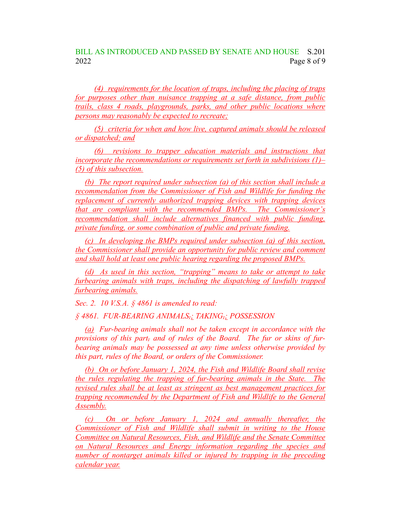*(4) requirements for the location of traps, including the placing of traps for purposes other than nuisance trapping at a safe distance, from public trails, class 4 roads, playgrounds, parks, and other public locations where persons may reasonably be expected to recreate;*

*(5) criteria for when and how live, captured animals should be released or dispatched; and*

*(6) revisions to trapper education materials and instructions that incorporate the recommendations or requirements set forth in subdivisions (1)– (5) of this subsection.*

*(b) The report required under subsection (a) of this section shall include a recommendation from the Commissioner of Fish and Wildlife for funding the replacement of currently authorized trapping devices with trapping devices that are compliant with the recommended BMPs. The Commissioner's recommendation shall include alternatives financed with public funding, private funding, or some combination of public and private funding.*

*(c) In developing the BMPs required under subsection (a) of this section, the Commissioner shall provide an opportunity for public review and comment and shall hold at least one public hearing regarding the proposed BMPs.*

*(d) As used in this section, "trapping" means to take or attempt to take furbearing animals with traps, including the dispatching of lawfully trapped furbearing animals.*

*Sec. 2. 10 V.S.A. § 4861 is amended to read:*

*§ 4861. FUR-BEARING ANIMALS,; TAKING,; POSSESSION*

*(a) Fur-bearing animals shall not be taken except in accordance with the provisions of this part, and of rules of the Board. The fur or skins of furbearing animals may be possessed at any time unless otherwise provided by this part, rules of the Board, or orders of the Commissioner.*

*(b) On or before January 1, 2024, the Fish and Wildlife Board shall revise the rules regulating the trapping of fur-bearing animals in the State. The revised rules shall be at least as stringent as best management practices for trapping recommended by the Department of Fish and Wildlife to the General Assembly.*

*(c) On or before January 1, 2024 and annually thereafter, the Commissioner of Fish and Wildlife shall submit in writing to the House Committee on Natural Resources, Fish, and Wildlife and the Senate Committee on Natural Resources and Energy information regarding the species and number of nontarget animals killed or injured by trapping in the preceding calendar year.*